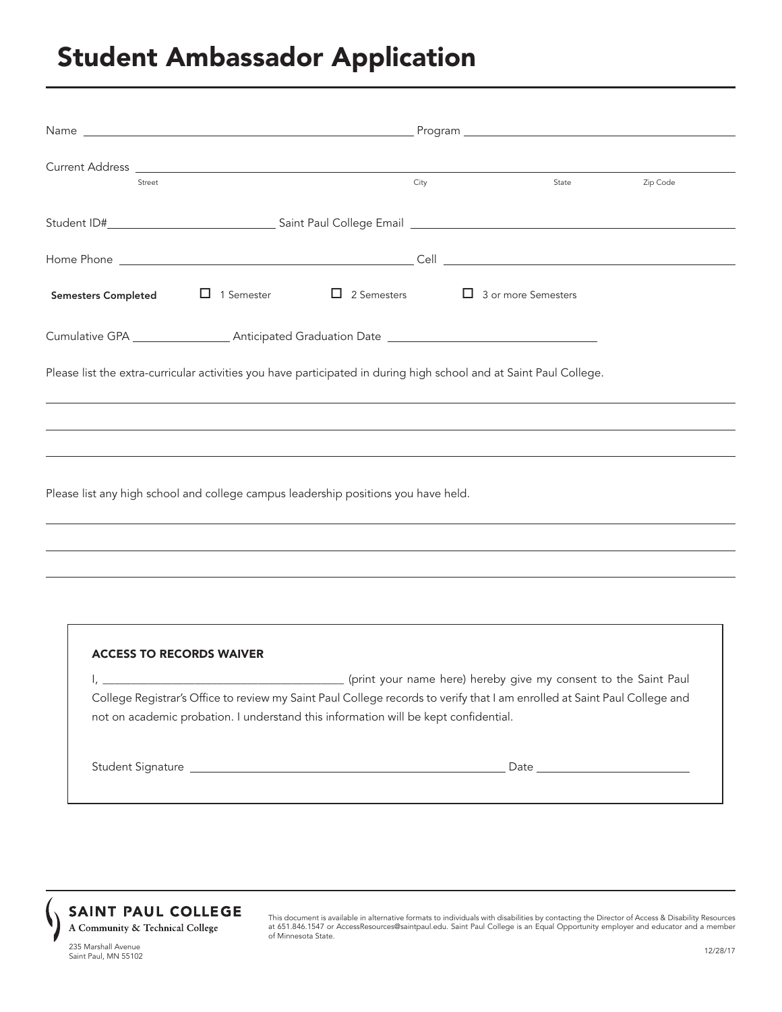## Student Ambassador Application

| Current Address <u>Carl Barbara and Carl Barbara and Carl Barbara and Carl Barbara and Carl Barbara and Carl Barbara and Carl Barbara and Carl Barbara and Carl Barbara and Carl Barbara and Carl Barbara and Carl Barbara and C</u> |      |       |          |  |  |  |  |
|--------------------------------------------------------------------------------------------------------------------------------------------------------------------------------------------------------------------------------------|------|-------|----------|--|--|--|--|
| Street                                                                                                                                                                                                                               | City | State | Zip Code |  |  |  |  |
|                                                                                                                                                                                                                                      |      |       |          |  |  |  |  |
|                                                                                                                                                                                                                                      |      |       |          |  |  |  |  |
| Semesters Completed $\Box$ 1 Semester $\Box$ 2 Semesters $\Box$ 3 or more Semesters                                                                                                                                                  |      |       |          |  |  |  |  |
| Cumulative GPA __________________________Anticipated Graduation Date _______________________________                                                                                                                                 |      |       |          |  |  |  |  |
| Please list the extra-curricular activities you have participated in during high school and at Saint Paul College.                                                                                                                   |      |       |          |  |  |  |  |
|                                                                                                                                                                                                                                      |      |       |          |  |  |  |  |
|                                                                                                                                                                                                                                      |      |       |          |  |  |  |  |
| Please list any high school and college campus leadership positions you have held.                                                                                                                                                   |      |       |          |  |  |  |  |

| College Registrar's Office to review my Saint Paul College records to verify that I am enrolled at Saint Paul College and<br>not on academic probation. I understand this information will be kept confidential.               |
|--------------------------------------------------------------------------------------------------------------------------------------------------------------------------------------------------------------------------------|
| Date and the contract of the contract of the contract of the contract of the contract of the contract of the contract of the contract of the contract of the contract of the contract of the contract of the contract of the c |



This document is available in alternative formats to individuals with disabilities by contacting the Director of Access & Disability Resources at 651.846.1547 or AccessResources@saintpaul.edu. Saint Paul College is an Equal Opportunity employer and educator and a member of Minnesota State.

235 Marshall Avenue<br>25 Marshall Avenue Saint Paul, MN 55102

 $\overline{a}$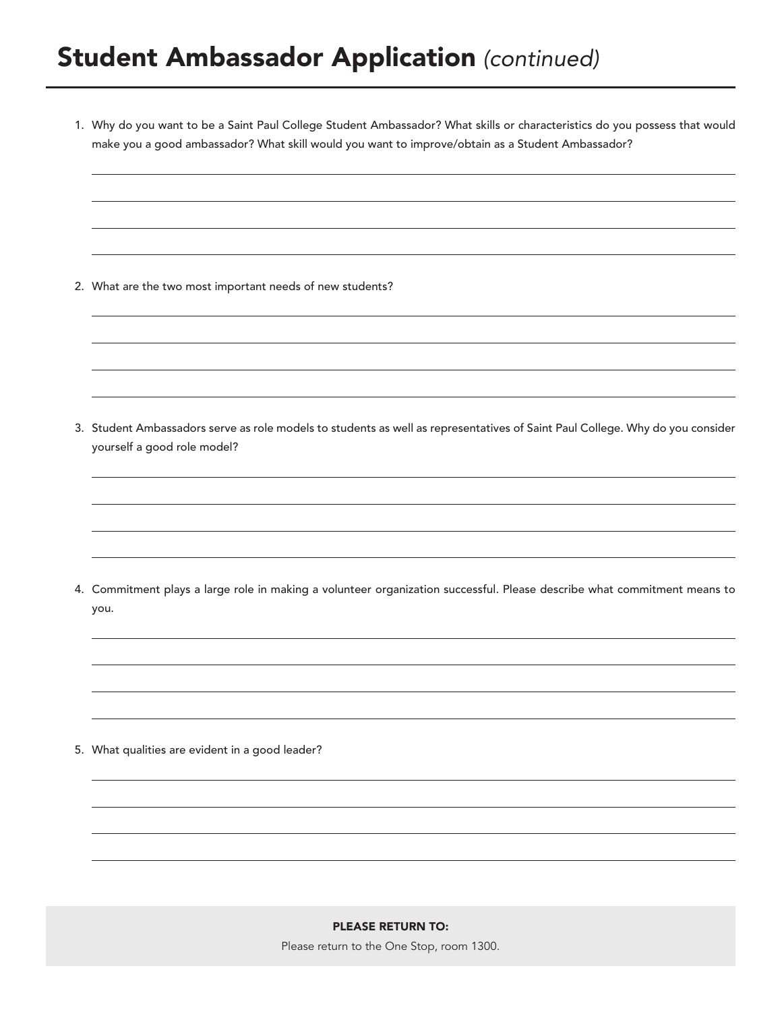1. Why do you want to be a Saint Paul College Student Ambassador? What skills or characteristics do you possess that would make you a good ambassador? What skill would you want to improve/obtain as a Student Ambassador?

2. What are the two most important needs of new students?

 $\overline{a}$ 

 $\overline{a}$ 

 $\overline{a}$ 

 $\overline{a}$ 

 $\overline{a}$ 

 $\overline{a}$ 

 $\overline{a}$ 

 $\overline{a}$ 

 $\overline{a}$ 

 $\overline{a}$ 

 $\overline{a}$ 

 $\overline{a}$ 

 $\overline{a}$ 

 $\overline{a}$ 

 $\overline{a}$ 

3. Student Ambassadors serve as role models to students as well as representatives of Saint Paul College. Why do you consider yourself a good role model?

4. Commitment plays a large role in making a volunteer organization successful. Please describe what commitment means to you.

5. What qualities are evident in a good leader?

## PLEASE RETURN TO:

Please return to the One Stop, room 1300.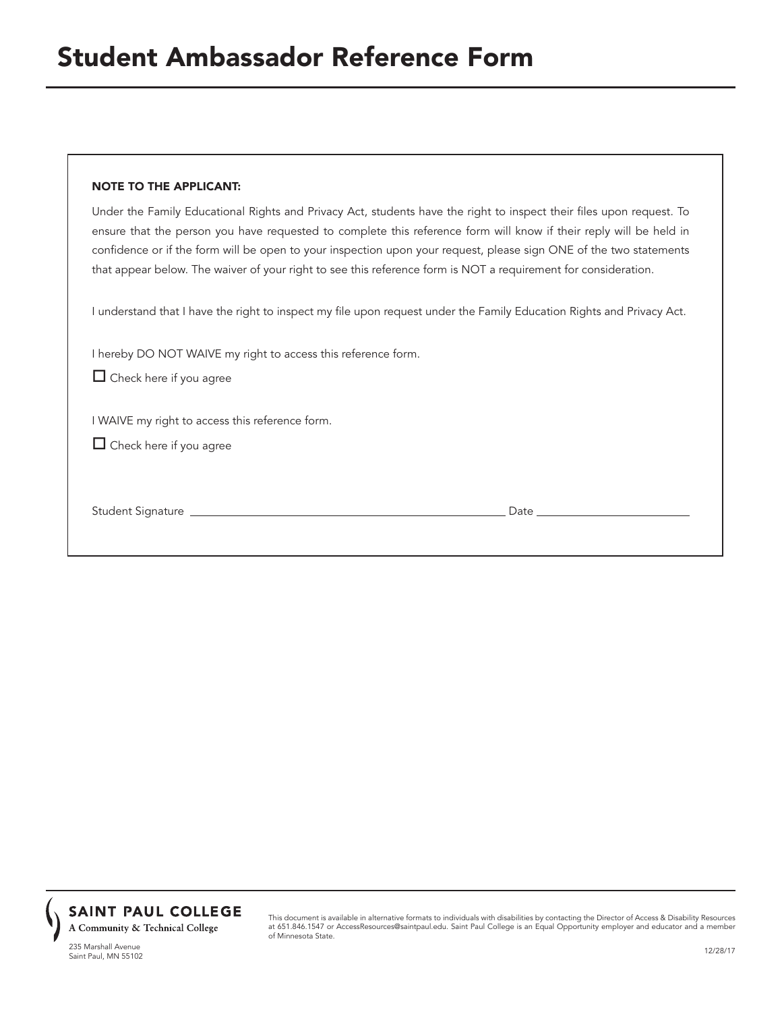## NOTE TO THE APPLICANT:

Under the Family Educational Rights and Privacy Act, students have the right to inspect their files upon request. To ensure that the person you have requested to complete this reference form will know if their reply will be held in confidence or if the form will be open to your inspection upon your request, please sign ONE of the two statements that appear below. The waiver of your right to see this reference form is NOT a requirement for consideration.

I understand that I have the right to inspect my file upon request under the Family Education Rights and Privacy Act.

I hereby DO NOT WAIVE my right to access this reference form.

 $\Box$  Check here if you agree

I WAIVE my right to access this reference form.

 $\Box$  Check here if you agree

Student Signature Date



This document is available in alternative formats to individuals with disabilities by contacting the Director of Access & Disability Resources at 651.846.1547 or AccessResources@saintpaul.edu. Saint Paul College is an Equal Opportunity employer and educator and a member of Minnesota State.